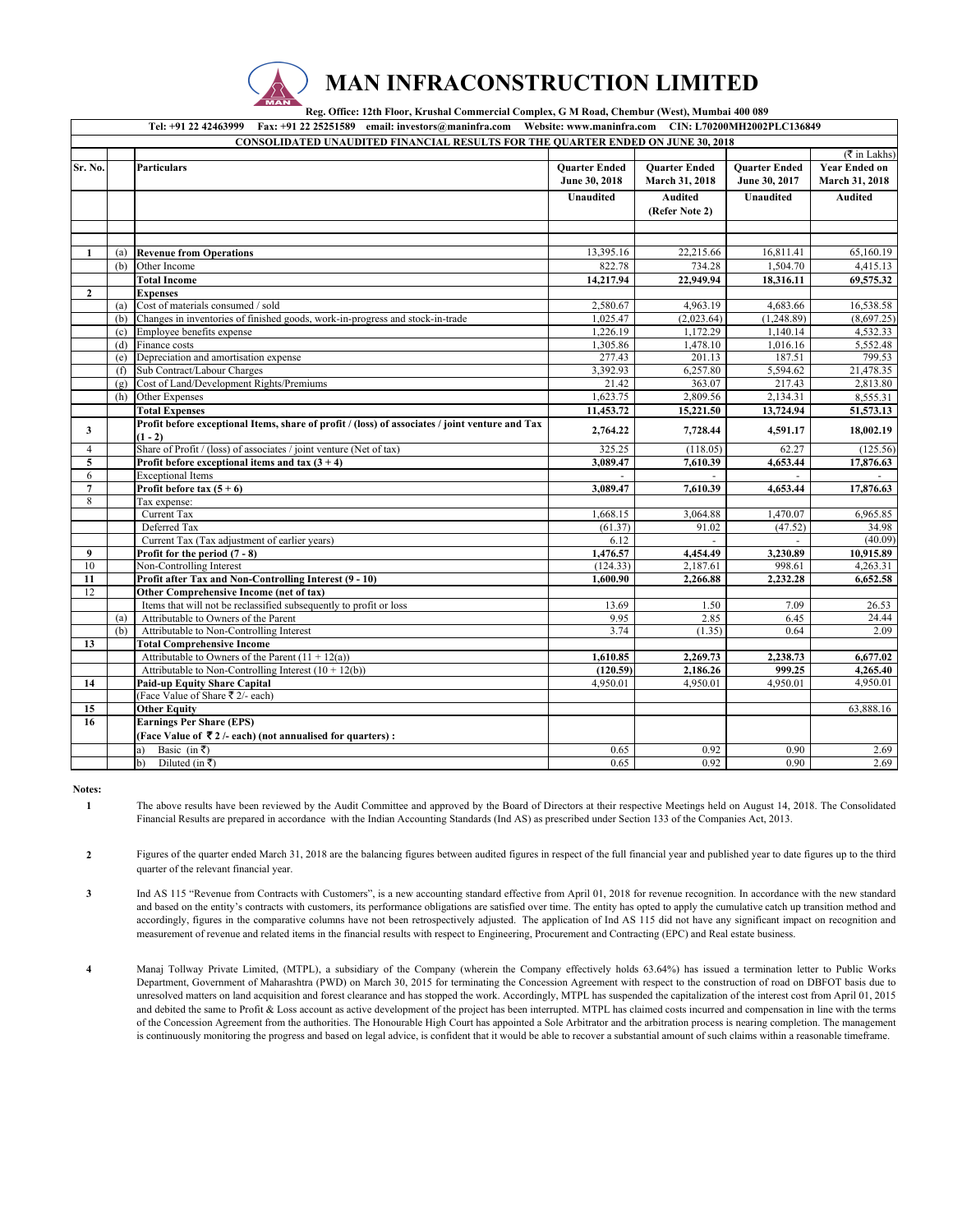

 **Reg. Office: 12th Floor, Krushal Commercial Complex, G M Road, Chembur (West), Mumbai 400 089** 

| Tel: +91 22 42463999 Fax: +91 22 25251589 email: investors@maninfra.com Website: www.maninfra.com CIN: L70200MH2002PLC136849 |     |                                                                                                 |                       |                      |                      |                              |
|------------------------------------------------------------------------------------------------------------------------------|-----|-------------------------------------------------------------------------------------------------|-----------------------|----------------------|----------------------|------------------------------|
| <b>CONSOLIDATED UNAUDITED FINANCIAL RESULTS FOR THE QUARTER ENDED ON JUNE 30, 2018</b>                                       |     |                                                                                                 |                       |                      |                      |                              |
|                                                                                                                              |     |                                                                                                 |                       |                      |                      | $(\overline{\tau}$ in Lakhs) |
| Sr. No.                                                                                                                      |     | Particulars                                                                                     | <b>Ouarter Ended</b>  | <b>Ouarter Ended</b> | <b>Ouarter Ended</b> | <b>Year Ended on</b>         |
|                                                                                                                              |     |                                                                                                 | June 30, 2018         | March 31, 2018       | June 30, 2017        | March 31, 2018               |
|                                                                                                                              |     |                                                                                                 | <b>Unaudited</b>      | <b>Audited</b>       | <b>Unaudited</b>     | <b>Audited</b>               |
|                                                                                                                              |     |                                                                                                 |                       | (Refer Note 2)       |                      |                              |
|                                                                                                                              |     |                                                                                                 |                       |                      |                      |                              |
|                                                                                                                              |     |                                                                                                 |                       |                      |                      |                              |
|                                                                                                                              |     |                                                                                                 |                       |                      |                      |                              |
| 1                                                                                                                            | (a) | <b>Revenue from Operations</b>                                                                  | 13,395.16             | 22,215.66            | 16,811.41            | 65,160.19                    |
|                                                                                                                              | (b) | Other Income                                                                                    | 822.78                | 734.28               | 1,504.70             | 4,415.13                     |
|                                                                                                                              |     | <b>Total Income</b>                                                                             | 14,217.94             | 22,949.94            | 18,316.11            | 69,575.32                    |
| $\mathbf{2}$                                                                                                                 |     | <b>Expenses</b>                                                                                 |                       |                      |                      |                              |
|                                                                                                                              | (a) | Cost of materials consumed / sold                                                               | 2,580.67              | 4,963.19             | 4,683.66             | 16,538.58                    |
|                                                                                                                              | (b) | Changes in inventories of finished goods, work-in-progress and stock-in-trade                   | 1,025.47              | (2,023.64)           | (1,248.89)           | (8,697.25)                   |
|                                                                                                                              | (c) | Employee benefits expense                                                                       | 1,226.19              | 1,172.29             | 1,140.14             | 4,532.33                     |
|                                                                                                                              | (d) | Finance costs                                                                                   | 1,305.86              | 1,478.10             | 1,016.16             | 5.552.48                     |
|                                                                                                                              | (e) | Depreciation and amortisation expense                                                           | 277.43                | 201.13               | 187.51               | 799.53                       |
|                                                                                                                              | (f) | Sub Contract/Labour Charges                                                                     | 3,392.93              | 6,257.80             | 5,594.62             | 21,478.35                    |
|                                                                                                                              | (g) | Cost of Land/Development Rights/Premiums                                                        | 21.42                 | 363.07               | 217.43               | 2,813.80                     |
|                                                                                                                              | (h) | Other Expenses                                                                                  | 1,623.75              | 2,809.56             | 2,134.31             | 8,555.31                     |
|                                                                                                                              |     | <b>Total Expenses</b>                                                                           | 11,453.72             | 15,221.50            | 13,724.94            | 51,573.13                    |
| 3                                                                                                                            |     | Profit before exceptional Items, share of profit / (loss) of associates / joint venture and Tax | 2,764.22              | 7,728.44             | 4,591.17             | 18,002.19                    |
|                                                                                                                              |     | $(1 - 2)$                                                                                       |                       |                      |                      |                              |
| $\overline{4}$                                                                                                               |     | Share of Profit / (loss) of associates / joint venture (Net of tax)                             | 325.25                | (118.05)             | 62.27                | (125.56)                     |
| 5                                                                                                                            |     | Profit before exceptional items and tax $(3 + 4)$                                               | 3,089.47              | 7,610.39             | 4,653.44             | 17,876.63                    |
| 6                                                                                                                            |     | <b>Exceptional Items</b>                                                                        |                       |                      |                      |                              |
| $\overline{7}$                                                                                                               |     | Profit before tax $(5 + 6)$                                                                     | 3,089.47              | 7,610.39             | 4,653.44             | 17,876.63                    |
| 8                                                                                                                            |     | Tax expense:                                                                                    |                       |                      |                      |                              |
|                                                                                                                              |     | Current Tax                                                                                     | 1,668.15              | 3,064.88             | 1,470.07             | $\overline{6,}965.85$        |
|                                                                                                                              |     | Deferred Tax                                                                                    | (61.37)               | 91.02                | (47.52)              | 34.98                        |
|                                                                                                                              |     | Current Tax (Tax adjustment of earlier years)                                                   | 6.12                  |                      |                      | (40.09)                      |
| $\boldsymbol{9}$                                                                                                             |     | Profit for the period (7 - 8)                                                                   | 1,476.57              | 4,454.49             | 3,230.89             | 10,915.89                    |
| 10                                                                                                                           |     | Non-Controlling Interest                                                                        | (124.33)              | 2,187.61             | 998.61               | 4,263.31                     |
| 11                                                                                                                           |     | Profit after Tax and Non-Controlling Interest (9 - 10)                                          | 1,600.90              | 2,266.88             | 2,232.28             | 6,652.58                     |
| 12                                                                                                                           |     | Other Comprehensive Income (net of tax)                                                         |                       |                      |                      |                              |
|                                                                                                                              |     | Items that will not be reclassified subsequently to profit or loss                              | 13.69                 | 1.50                 | 7.09                 | 26.53                        |
|                                                                                                                              | (a) | Attributable to Owners of the Parent                                                            | 9.95                  | 2.85                 | 6.45                 | 24.44                        |
|                                                                                                                              | (b) | Attributable to Non-Controlling Interest                                                        | 3.74                  | (1.35)               | 0.64                 | 2.09                         |
| 13                                                                                                                           |     | <b>Total Comprehensive Income</b>                                                               |                       |                      |                      |                              |
|                                                                                                                              |     | Attributable to Owners of the Parent $(11 + 12(a))$                                             | $\overline{1,610.85}$ | 2,269.73             | 2,238.73             | 6,677.02                     |
|                                                                                                                              |     | Attributable to Non-Controlling Interest $(10 + 12(b))$                                         | (120.59)              | 2,186.26             | 999.25               | 4,265.40                     |
| 14                                                                                                                           |     | <b>Paid-up Equity Share Capital</b>                                                             | 4,950.01              | 4,950.01             | 4,950.01             | 4,950.01                     |
|                                                                                                                              |     | (Face Value of Share ₹ 2/- each)                                                                |                       |                      |                      |                              |
| 15                                                                                                                           |     | <b>Other Equity</b>                                                                             |                       |                      |                      | 63,888.16                    |
| 16                                                                                                                           |     | <b>Earnings Per Share (EPS)</b>                                                                 |                       |                      |                      |                              |
|                                                                                                                              |     | (Face Value of ₹2 /- each) (not annualised for quarters) :                                      |                       |                      |                      |                              |
|                                                                                                                              |     | Basic (in ₹)<br>a)                                                                              | 0.65                  | 0.92                 | 0.90                 | 2.69                         |
|                                                                                                                              |     | $\mathbf{b}$<br>Diluted (in ₹)                                                                  | 0.65                  | 0.92                 | 0.90                 | 2.69                         |

**Notes: 1**

The above results have been reviewed by the Audit Committee and approved by the Board of Directors at their respective Meetings held on August 14, 2018. The Consolidated Financial Results are prepared in accordance with the Indian Accounting Standards (Ind AS) as prescribed under Section 133 of the Companies Act, 2013.

**2** Figures of the quarter ended March 31, 2018 are the balancing figures between audited figures in respect of the full financial year and published year to date figures up to the third quarter of the relevant financial year.

**3** Ind AS 115 "Revenue from Contracts with Customers", is a new accounting standard effective from April 01, 2018 for revenue recognition. In accordance with the new standard and based on the entity's contracts with customers, its performance obligations are satisfied over time. The entity has opted to apply the cumulative catch up transition method and accordingly, figures in the comparative columns have not been retrospectively adjusted. The application of Ind AS 115 did not have any significant impact on recognition and measurement of revenue and related items in the financial results with respect to Engineering, Procurement and Contracting (EPC) and Real estate business.

**4** Manaj Tollway Private Limited, (MTPL), a subsidiary of the Company (wherein the Company effectively holds 63.64%) has issued a termination letter to Public Works Department, Government of Maharashtra (PWD) on March 30, 2015 for terminating the Concession Agreement with respect to the construction of road on DBFOT basis due to unresolved matters on land acquisition and forest clearance and has stopped the work. Accordingly, MTPL has suspended the capitalization of the interest cost from April 01, 2015 and debited the same to Profit & Loss account as active development of the project has been interrupted. MTPL has claimed costs incurred and compensation in line with the terms of the Concession Agreement from the authorities. The Honourable High Court has appointed a Sole Arbitrator and the arbitration process is nearing completion. The management is continuously monitoring the progress and based on legal advice, is confident that it would be able to recover a substantial amount of such claims within a reasonable timeframe.